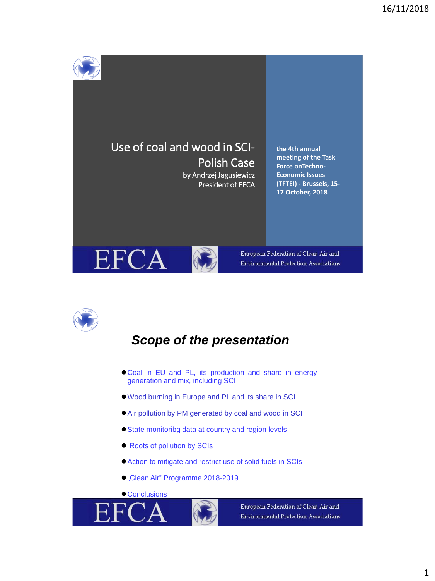



### *Scope of the presentation*

- ⚫Coal in EU and PL, its production and share in energy generation and mix, including SCI
- ⚫Wood burning in Europe and PL and its share in SCI
- ⚫Air pollution by PM generated by coal and wood in SCI
- ⚫State monitoribg data at country and region levels
- Roots of pollution by SCIs
- ⚫Action to mitigate and restrict use of solid fuels in SCIs
- "Clean Air" Programme 2018-2019
- Conclusions



European Federation of Clean Air and **Environmental Protection Associations**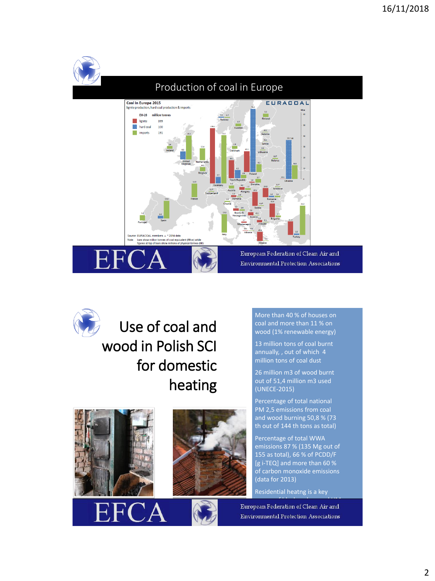



Use of coal and wood in Polish SCI for domestic heating



- 1



More than 40 % of houses on coal and more than 11 % on wood (1% renewable energy)

13 million tons of coal burnt annually, , out of which 4 million tons of coal dust

26 million m3 of wood burnt out of 51,4 million m3 used (UNECE-2015)

Percentage of total national PM 2,5 emissions from coal and wood burning 50,8 % (73 th out of 144 th tons as total)

Percentage of total WWA emissions 87 % (135 Mg out of 155 as total), 66 % of PCDD/F [g i-TEQ] and more than 60 % of carbon monoxide emissions (data for 2013)

Residential heatng is a key

source of black carbon and HMM and HMM and HMM and HMM and HMM and HMM and HMM and HMM and HMM and HMM and HMM ean Federation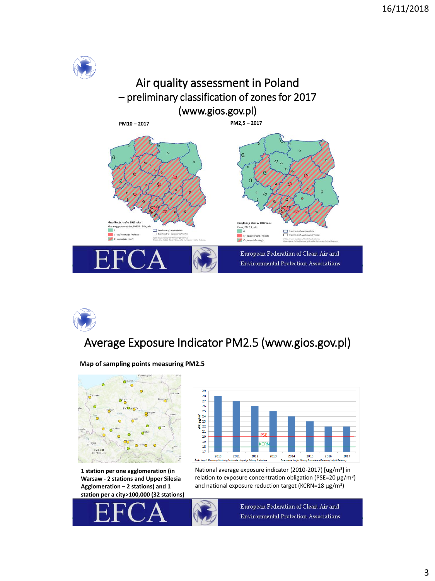

# Average Exposure Indicator PM2.5 (www.gios.gov.pl)

**06/06/2018**



**Map of sampling points measuring PM2.5**

**1 station per one agglomeration (in Warsaw - 2 stations and Upper Silesia Agglomeration – 2 stations) and 1 station per a city>100,000 (32 stations)** 



National average exposure indicator (2010-2017) [ug/m<sup>3</sup>] in relation to exposure concentration obligation (PSE=20  $\mu$ g/m<sup>3</sup>) and national exposure reduction target (KCRN=18  $\mu$ g/m<sup>3</sup>)

European Federation of Clean Air and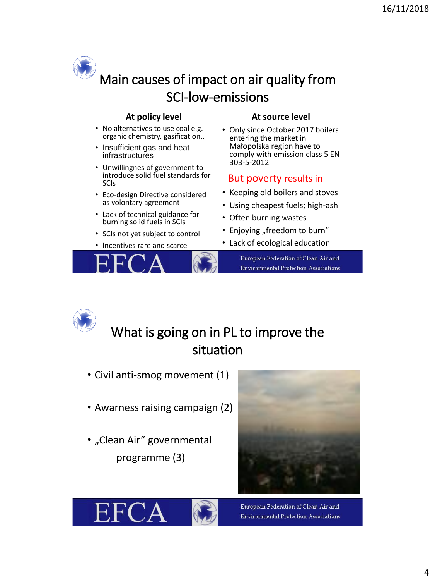# Main causes of impact on air quality from SCI-low-emissions

- No alternatives to use coal e.g. organic chemistry, gasification..
- Insufficient gas and heat infrastructures
- Unwillingnes of government to introduce solid fuel standards for SCIs
- Eco-design Directive considered as volontary agreement
- Lack of technical guidance for burning solid fuels in SCIs
- SCIs not yet subject to control
- Incentives rare and scarce



#### **At policy level At source level**

• Only since October 2017 boilers entering the market in Małopolska region have to comply with emission class 5 EN 303-5-2012

#### But poverty results in

- Keeping old boilers and stoves
- Using cheapest fuels; high-ash
- Often burning wastes
- Enjoying "freedom to burn"
- Lack of ecological education

European Federation of Clean Air and **Environmental Protection Associations** 



## What is going on in PL to improve the situation

- Civil anti-smog movement (1)
- Awarness raising campaign (2)
- "Clean Air" governmental programme (3)



European Federation of Clean Air and **Environmental Protection Associations** 

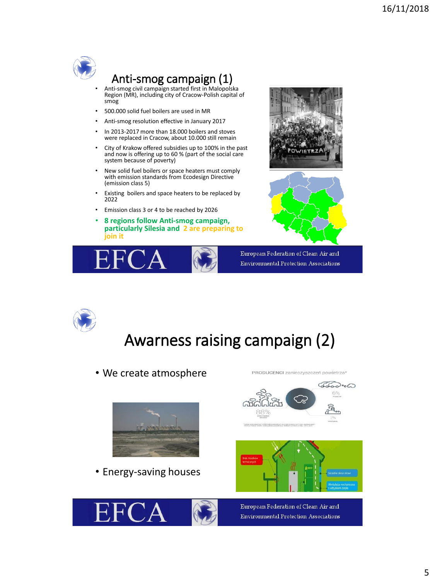

# Anti-smog campaign (1)

- Anti-smog civil campaign started first in Malopolska Region (MR), including city of Cracow-Polish capital of smog
- 500.000 solid fuel boilers are used in MR
- Anti-smog resolution effective in January 2017
- In 2013-2017 more than 18.000 boilers and stoves were replaced in Cracow, about 10.000 still remain
- City of Krakow offered subsidies up to 100% in the past and now is offering up to 60 % (part of the social care system because of poverty)
- New solid fuel boilers or space heaters must comply with emission standards from Ecodesign Directive (emission class 5)
- Existing boilers and space heaters to be replaced by 2022
- Emission class 3 or 4 to be reached by 2026
- **8 regions follow Anti-smog campaign, particularly Silesia and 2 are preparing to join it**







European Federation of Clean Air and **Environmental Protection Associations** 



# Awarness raising campaign (2)

• We create atmosphere



• Energy-saving houses







PRODUCENCI zanieczyszczeń powietrza\*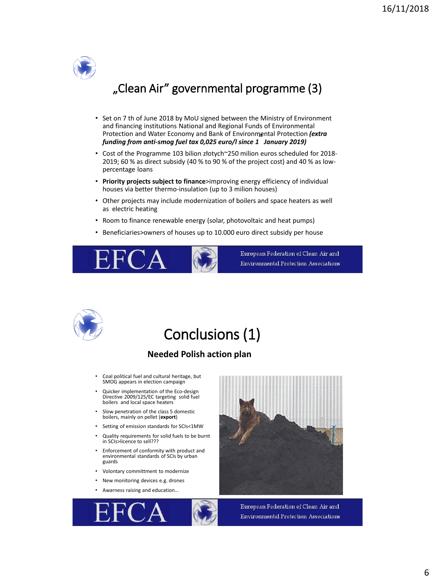

### "Clean Air" governmental programme (3)

- Set on 7 th of June 2018 by MoU signed between the Ministry of Environment and financing institutions National and Regional Funds of Environmental Protection and Water Economy and Bank of Environmental Protection *(extra funding from anti-smog fuel tax 0,025 euro/l since 1 January 2019)*
- Cost of the Programme 103 bilion złotych~250 milion euros scheduled for 2018- 2019; 60 % as direct subsidy (40 % to 90 % of the project cost) and 40 % as lowpercentage loans
- **Priority projects subject to finance**>improving energy efficiency of individual houses via better thermo-insulation (up to 3 milion houses)
- Other projects may include modernization of boilers and space heaters as well as electric heating
- Room to finance renewable energy (solar, photovoltaic and heat pumps)
- Beneficiaries>owners of houses up to 10.000 euro direct subsidy per house



European Federation of Clean Air and **Environmental Protection Associations** 



# Conclusions (1)

#### **Needed Polish action plan**

- Coal political fuel and cultural heritage, but SMOG appears in election campaign
- Quicker implementation of the Eco-design Directive 2009/125/EC targeting solid fuel boilers and local space heaters
- Slow penetration of the class 5 domestic boilers, mainly on pellet (**export**)
- Setting of emission standards for SCIs<1MW
- Quality requirements for solid fuels to be burnt in SCIs>licence to sell???
- Enforcement of conformity with product and environmental standards of SCIs by urban guards
- Volontary committment to modernize
- New monitoring devices e.g. drones
- Awarness raising and education…





European Federation of Clean Air and **Environmental Protection Associations**